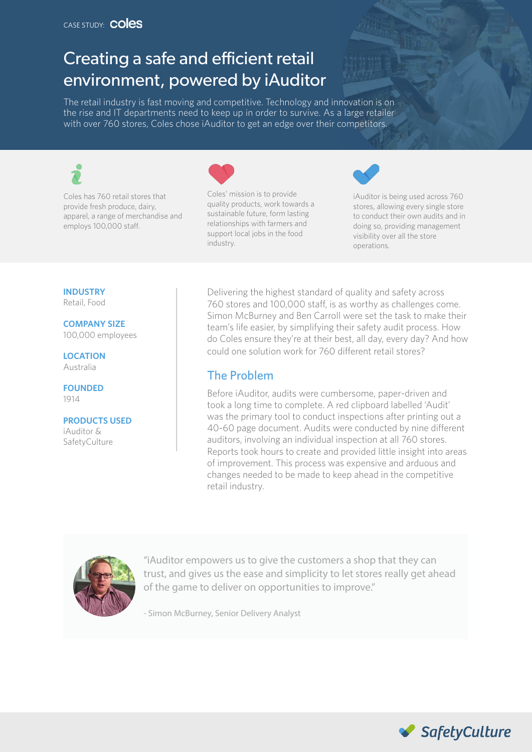# Creating a safe and efficient retail environment, powered by iAuditor

The retail industry is fast moving and competitive. Technology and innovation is on the rise and IT departments need to keep up in order to survive. As a large retailer with over 760 stores, Coles chose iAuditor to get an edge over their competitors.



Coles has 760 retail stores that provide fresh produce, dairy, apparel, a range of merchandise and employs 100,000 staff.



Coles' mission is to provide quality products, work towards a sustainable future, form lasting relationships with farmers and support local jobs in the food industry.



iAuditor is being used across 760 stores, allowing every single store to conduct their own audits and in doing so, providing management visibility over all the store operations.

#### **INDUSTRY**

Retail, Food

**COMPANY SIZE** 100,000 employees

**LOCATION** Australia

**FOUNDED** 1914

**PRODUCTS USED** iAuditor & SafetyCulture

Delivering the highest standard of quality and safety across 760 stores and 100,000 staff, is as worthy as challenges come. Simon McBurney and Ben Carroll were set the task to make their team's life easier, by simplifying their safety audit process. How do Coles ensure they're at their best, all day, every day? And how could one solution work for 760 different retail stores?

#### The Problem

Before iAuditor, audits were cumbersome, paper-driven and took a long time to complete. A red clipboard labelled 'Audit' was the primary tool to conduct inspections after printing out a 40-60 page document. Audits were conducted by nine different auditors, involving an individual inspection at all 760 stores. Reports took hours to create and provided little insight into areas of improvement. This process was expensive and arduous and changes needed to be made to keep ahead in the competitive retail industry.



"iAuditor empowers us to give the customers a shop that they can trust, and gives us the ease and simplicity to let stores really get ahead of the game to deliver on opportunities to improve."

- Simon McBurney, Senior Delivery Analyst

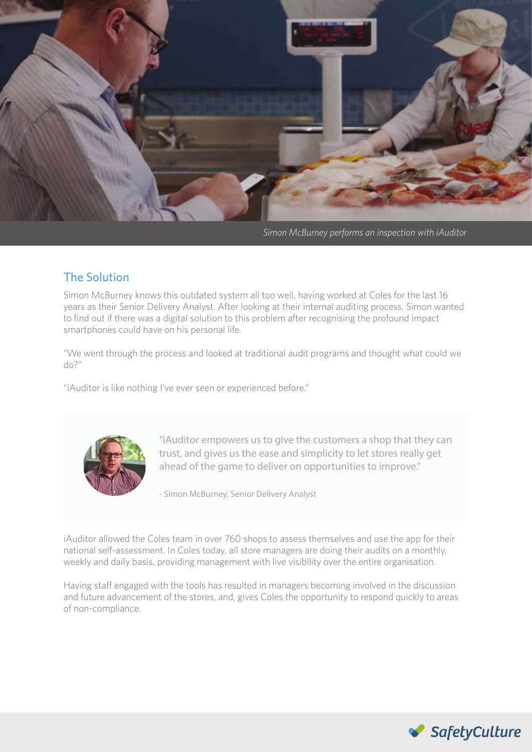

*Simon McBurney performs an inspection with iAuditor*

### The Solution

Simon McBurney knows this outdated system all too well, having worked at Coles for the last 16 years as their Senior Delivery Analyst. After looking at their internal auditing process, Simon wanted to find out if there was a digital solution to this problem after recognising the profound impact smartphones could have on his personal life.

"We went through the process and looked at traditional audit programs and thought what could we do?"

"iAuditor is like nothing I've ever seen or experienced before."



"iAuditor empowers us to give the customers a shop that they can trust, and gives us the ease and simplicity to let stores really get ahead of the game to deliver on opportunities to improve."

- Simon McBurney, Senior Delivery Analyst

iAuditor allowed the Coles team in over 760 shops to assess themselves and use the app for their national self-assessment. In Coles today, all store managers are doing their audits on a monthly, weekly and daily basis, providing management with live visibility over the entire organisation.

Having staff engaged with the tools has resulted in managers becoming involved in the discussion and future advancement of the stores, and, gives Coles the opportunity to respond quickly to areas of non-compliance.

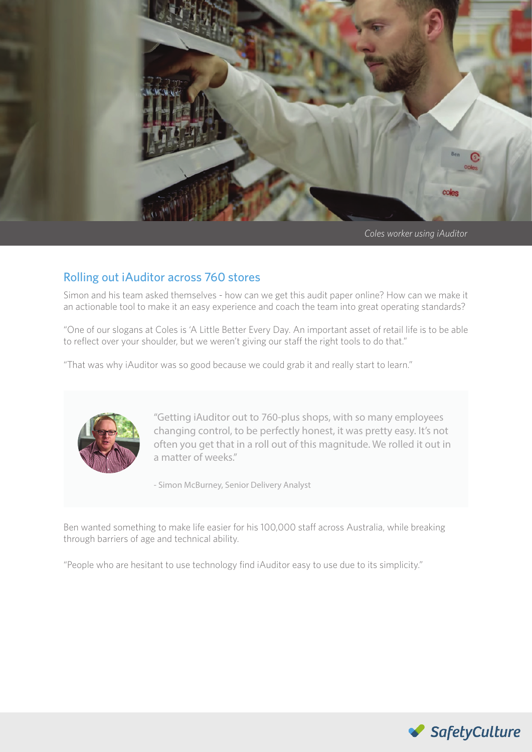

*Coles worker using iAuditor* 

## Rolling out iAuditor across 760 stores

Simon and his team asked themselves - how can we get this audit paper online? How can we make it an actionable tool to make it an easy experience and coach the team into great operating standards?

"One of our slogans at Coles is 'A Little Better Every Day. An important asset of retail life is to be able to reflect over your shoulder, but we weren't giving our staff the right tools to do that."

"That was why iAuditor was so good because we could grab it and really start to learn."



"Getting iAuditor out to 760-plus shops, with so many employees changing control, to be perfectly honest, it was pretty easy. It's not often you get that in a roll out of this magnitude. We rolled it out in a matter of weeks."

- Simon McBurney, Senior Delivery Analyst

Ben wanted something to make life easier for his 100,000 staff across Australia, while breaking through barriers of age and technical ability.

"People who are hesitant to use technology find iAuditor easy to use due to its simplicity."

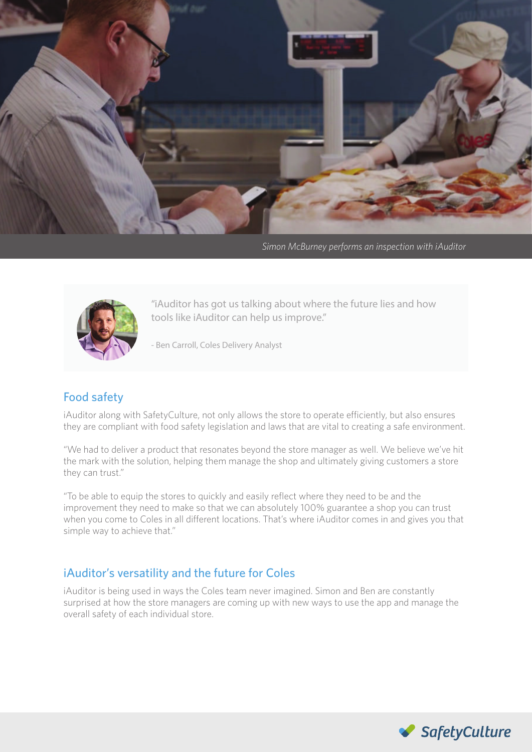

*Simon McBurney performs an inspection with iAuditor*



"iAuditor has got us talking about where the future lies and how tools like iAuditor can help us improve."

- Ben Carroll, Coles Delivery Analyst

### Food safety

iAuditor along with SafetyCulture, not only allows the store to operate efficiently, but also ensures they are compliant with food safety legislation and laws that are vital to creating a safe environment.

"We had to deliver a product that resonates beyond the store manager as well. We believe we've hit the mark with the solution, helping them manage the shop and ultimately giving customers a store they can trust."

"To be able to equip the stores to quickly and easily reflect where they need to be and the improvement they need to make so that we can absolutely 100% guarantee a shop you can trust when you come to Coles in all different locations. That's where iAuditor comes in and gives you that simple way to achieve that."

### iAuditor's versatility and the future for Coles

iAuditor is being used in ways the Coles team never imagined. Simon and Ben are constantly surprised at how the store managers are coming up with new ways to use the app and manage the overall safety of each individual store.